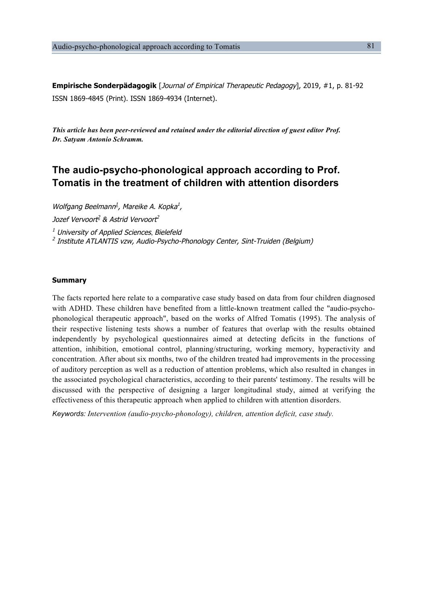**Empirische Sonderpädagogik** [Journal of Empirical Therapeutic Pedagogy], 2019, #1, p. 81-92 ISSN 1869-4845 (Print). ISSN 1869-4934 (Internet).

*This article has been peer-reviewed and retained under the editorial direction of guest editor Prof. Dr. Satyam Antonio Schramm.*

# **The audio-psycho-phonological approach according to Prof. Tomatis in the treatment of children with attention disorders**

Wolfgang Beelmann<sup>1</sup>, Mareike A, Kopka<sup>1</sup>, Jozef Vervoort<sup>2</sup> & Astrid Vervoort<sup>2</sup>  $<sup>1</sup>$  University of Applied Sciences, Bielefeld</sup> <sup>2</sup> Institute ATLANTIS vzw, Audio-Psycho-Phonology Center, Sint-Truiden (Belgium)

# **Summary**

The facts reported here relate to a comparative case study based on data from four children diagnosed with ADHD. These children have benefited from a little-known treatment called the "audio-psychophonological therapeutic approach", based on the works of Alfred Tomatis (1995). The analysis of their respective listening tests shows a number of features that overlap with the results obtained independently by psychological questionnaires aimed at detecting deficits in the functions of attention, inhibition, emotional control, planning/structuring, working memory, hyperactivity and concentration. After about six months, two of the children treated had improvements in the processing of auditory perception as well as a reduction of attention problems, which also resulted in changes in the associated psychological characteristics, according to their parents' testimony. The results will be discussed with the perspective of designing a larger longitudinal study, aimed at verifying the effectiveness of this therapeutic approach when applied to children with attention disorders.

*Keywords: Intervention (audio-psycho-phonology), children, attention deficit, case study.*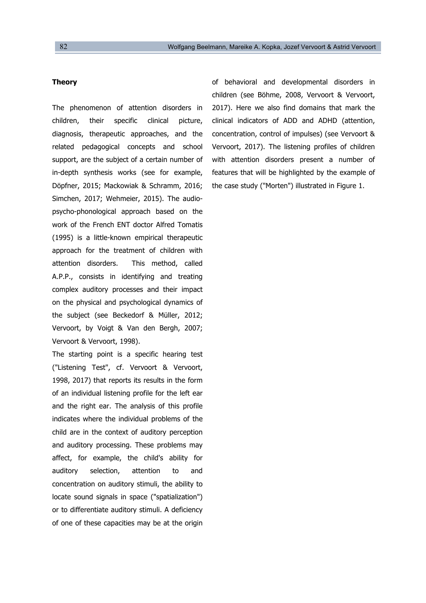# **Theory**

The phenomenon of attention disorders in children, their specific clinical picture, diagnosis, therapeutic approaches, and the related pedagogical concepts and school support, are the subject of a certain number of in-depth synthesis works (see for example, Döpfner, 2015; Mackowiak & Schramm, 2016; Simchen, 2017; Wehmeier, 2015). The audiopsycho-phonological approach based on the work of the French ENT doctor Alfred Tomatis (1995) is a little-known empirical therapeutic approach for the treatment of children with attention disorders. This method, called A.P.P., consists in identifying and treating complex auditory processes and their impact on the physical and psychological dynamics of the subject (see Beckedorf & Müller, 2012; Vervoort, by Voigt & Van den Bergh, 2007; Vervoort & Vervoort, 1998).

The starting point is a specific hearing test ("Listening Test", cf. Vervoort & Vervoort, 1998, 2017) that reports its results in the form of an individual listening profile for the left ear and the right ear. The analysis of this profile indicates where the individual problems of the child are in the context of auditory perception and auditory processing. These problems may affect, for example, the child's ability for auditory selection, attention to and concentration on auditory stimuli, the ability to locate sound signals in space ("spatialization") or to differentiate auditory stimuli. A deficiency of one of these capacities may be at the origin of behavioral and developmental disorders in children (see Böhme, 2008, Vervoort & Vervoort, 2017). Here we also find domains that mark the clinical indicators of ADD and ADHD (attention, concentration, control of impulses) (see Vervoort & Vervoort, 2017). The listening profiles of children with attention disorders present a number of features that will be highlighted by the example of the case study ("Morten") illustrated in Figure 1.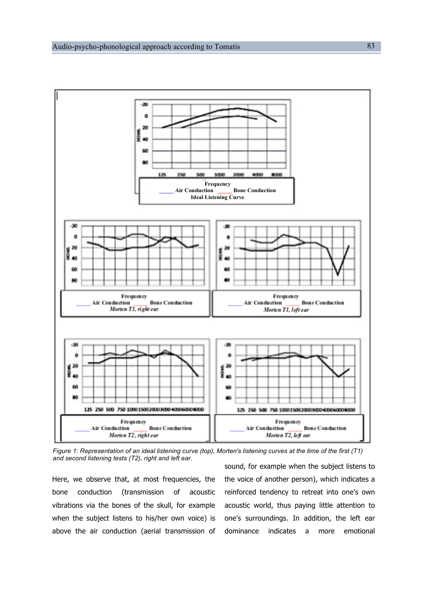

*Figure 1: Representation of an ideal listening curve (top), Morten's listening curves at the time of the first (T1) and second listening tests (T2), right and left ear.*

Here, we observe that, at most frequencies, the bone conduction (transmission of acoustic vibrations via the bones of the skull, for example when the subject listens to his/her own voice) is above the air conduction (aerial transmission of sound, for example when the subject listens to the voice of another person), which indicates a reinforced tendency to retreat into one's own acoustic world, thus paying little attention to one's surroundings. In addition, the left ear dominance indicates a more emotional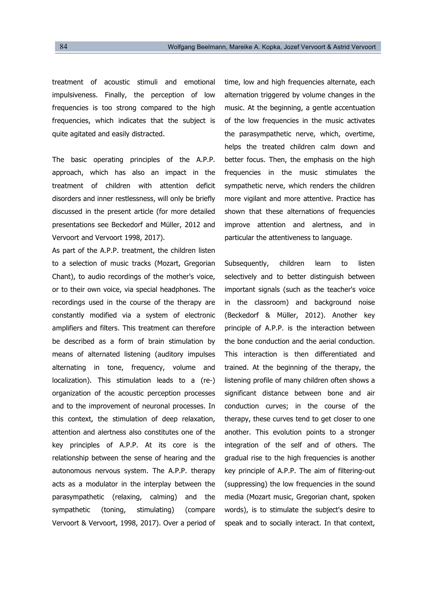treatment of acoustic stimuli and emotional impulsiveness. Finally, the perception of low frequencies is too strong compared to the high frequencies, which indicates that the subject is quite agitated and easily distracted.

The basic operating principles of the A.P.P. approach, which has also an impact in the treatment of children with attention deficit disorders and inner restlessness, will only be briefly discussed in the present article (for more detailed presentations see Beckedorf and Müller, 2012 and Vervoort and Vervoort 1998, 2017).

As part of the A.P.P. treatment, the children listen to a selection of music tracks (Mozart, Gregorian Chant), to audio recordings of the mother's voice, or to their own voice, via special headphones. The recordings used in the course of the therapy are constantly modified via a system of electronic amplifiers and filters. This treatment can therefore be described as a form of brain stimulation by means of alternated listening (auditory impulses alternating in tone, frequency, volume and localization). This stimulation leads to a (re-) organization of the acoustic perception processes and to the improvement of neuronal processes. In this context, the stimulation of deep relaxation, attention and alertness also constitutes one of the key principles of A.P.P. At its core is the relationship between the sense of hearing and the autonomous nervous system. The A.P.P. therapy acts as a modulator in the interplay between the parasympathetic (relaxing, calming) and the sympathetic (toning, stimulating) (compare Vervoort & Vervoort, 1998, 2017). Over a period of time, low and high frequencies alternate, each alternation triggered by volume changes in the music. At the beginning, a gentle accentuation of the low frequencies in the music activates the parasympathetic nerve, which, overtime, helps the treated children calm down and better focus. Then, the emphasis on the high frequencies in the music stimulates the sympathetic nerve, which renders the children more vigilant and more attentive. Practice has shown that these alternations of frequencies improve attention and alertness, and in particular the attentiveness to language.

Subsequently, children learn to listen selectively and to better distinguish between important signals (such as the teacher's voice in the classroom) and background noise (Beckedorf & Müller, 2012). Another key principle of A.P.P. is the interaction between the bone conduction and the aerial conduction. This interaction is then differentiated and trained. At the beginning of the therapy, the listening profile of many children often shows a significant distance between bone and air conduction curves; in the course of the therapy, these curves tend to get closer to one another. This evolution points to a stronger integration of the self and of others. The gradual rise to the high frequencies is another key principle of A.P.P. The aim of filtering-out (suppressing) the low frequencies in the sound media (Mozart music, Gregorian chant, spoken words), is to stimulate the subject's desire to speak and to socially interact. In that context,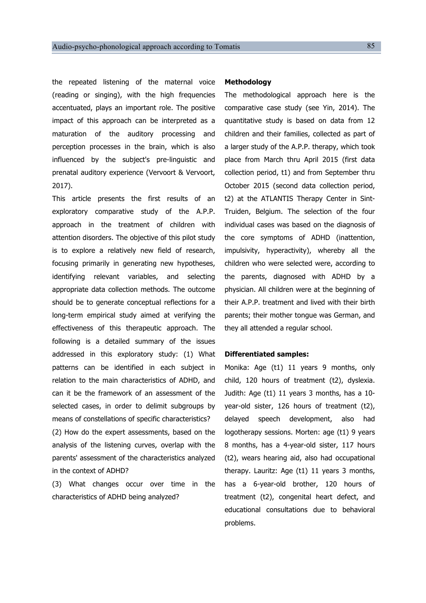the repeated listening of the maternal voice (reading or singing), with the high frequencies accentuated, plays an important role. The positive impact of this approach can be interpreted as a maturation of the auditory processing and perception processes in the brain, which is also influenced by the subject's pre-linguistic and prenatal auditory experience (Vervoort & Vervoort, 2017).

This article presents the first results of an exploratory comparative study of the A.P.P. approach in the treatment of children with attention disorders. The objective of this pilot study is to explore a relatively new field of research, focusing primarily in generating new hypotheses, identifying relevant variables, and selecting appropriate data collection methods. The outcome should be to generate conceptual reflections for a long-term empirical study aimed at verifying the effectiveness of this therapeutic approach. The following is a detailed summary of the issues addressed in this exploratory study: (1) What patterns can be identified in each subject in relation to the main characteristics of ADHD, and can it be the framework of an assessment of the selected cases, in order to delimit subgroups by means of constellations of specific characteristics? (2) How do the expert assessments, based on the analysis of the listening curves, overlap with the parents' assessment of the characteristics analyzed

(3) What changes occur over time in the characteristics of ADHD being analyzed?

in the context of ADHD?

#### **Methodology**

The methodological approach here is the comparative case study (see Yin, 2014). The quantitative study is based on data from 12 children and their families, collected as part of a larger study of the A.P.P. therapy, which took place from March thru April 2015 (first data collection period, t1) and from September thru October 2015 (second data collection period, t2) at the ATLANTIS Therapy Center in Sint-Truiden, Belgium. The selection of the four individual cases was based on the diagnosis of the core symptoms of ADHD (inattention, impulsivity, hyperactivity), whereby all the children who were selected were, according to the parents, diagnosed with ADHD by a physician. All children were at the beginning of their A.P.P. treatment and lived with their birth parents; their mother tongue was German, and they all attended a regular school.

#### **Differentiated samples:**

Monika: Age (t1) 11 years 9 months, only child, 120 hours of treatment (t2), dyslexia. Judith: Age (t1) 11 years 3 months, has a 10 year-old sister, 126 hours of treatment (t2), delayed speech development, also had logotherapy sessions. Morten: age (t1) 9 years 8 months, has a 4-year-old sister, 117 hours (t2), wears hearing aid, also had occupational therapy. Lauritz: Age (t1) 11 years 3 months, has a 6-year-old brother, 120 hours of treatment (t2), congenital heart defect, and educational consultations due to behavioral problems.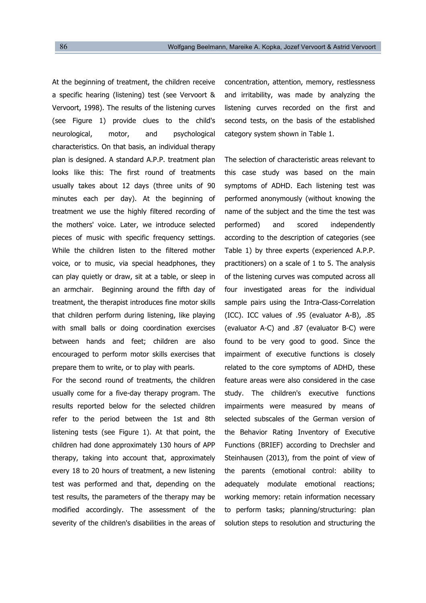At the beginning of treatment, the children receive a specific hearing (listening) test (see Vervoort & Vervoort, 1998). The results of the listening curves (see Figure 1) provide clues to the child's neurological, motor, and psychological characteristics. On that basis, an individual therapy plan is designed. A standard A.P.P. treatment plan looks like this: The first round of treatments usually takes about 12 days (three units of 90 minutes each per day). At the beginning of treatment we use the highly filtered recording of the mothers' voice. Later, we introduce selected pieces of music with specific frequency settings. While the children listen to the filtered mother voice, or to music, via special headphones, they can play quietly or draw, sit at a table, or sleep in an armchair. Beginning around the fifth day of treatment, the therapist introduces fine motor skills that children perform during listening, like playing with small balls or doing coordination exercises between hands and feet; children are also encouraged to perform motor skills exercises that prepare them to write, or to play with pearls.

For the second round of treatments, the children usually come for a five-day therapy program. The results reported below for the selected children refer to the period between the 1st and 8th listening tests (see Figure 1). At that point, the children had done approximately 130 hours of APP therapy, taking into account that, approximately every 18 to 20 hours of treatment, a new listening test was performed and that, depending on the test results, the parameters of the therapy may be modified accordingly. The assessment of the severity of the children's disabilities in the areas of concentration, attention, memory, restlessness and irritability, was made by analyzing the listening curves recorded on the first and second tests, on the basis of the established category system shown in Table 1.

The selection of characteristic areas relevant to this case study was based on the main symptoms of ADHD. Each listening test was performed anonymously (without knowing the name of the subject and the time the test was performed) and scored independently according to the description of categories (see Table 1) by three experts (experienced A.P.P. practitioners) on a scale of 1 to 5. The analysis of the listening curves was computed across all four investigated areas for the individual sample pairs using the Intra-Class-Correlation (ICC). ICC values of .95 (evaluator A-B), .85 (evaluator A-C) and .87 (evaluator B-C) were found to be very good to good. Since the impairment of executive functions is closely related to the core symptoms of ADHD, these feature areas were also considered in the case study. The children's executive functions impairments were measured by means of selected subscales of the German version of the Behavior Rating Inventory of Executive Functions (BRIEF) according to Drechsler and Steinhausen (2013), from the point of view of the parents (emotional control: ability to adequately modulate emotional reactions; working memory: retain information necessary to perform tasks; planning/structuring: plan solution steps to resolution and structuring the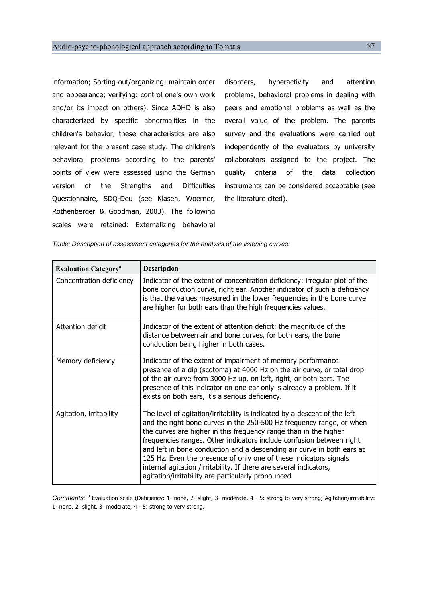information; Sorting-out/organizing: maintain order and appearance; verifying: control one's own work and/or its impact on others). Since ADHD is also characterized by specific abnormalities in the children's behavior, these characteristics are also relevant for the present case study. The children's behavioral problems according to the parents' points of view were assessed using the German version of the Strengths and Difficulties Questionnaire, SDQ-Deu (see Klasen, Woerner, Rothenberger & Goodman, 2003). The following scales were retained: Externalizing behavioral

disorders, hyperactivity and attention problems, behavioral problems in dealing with peers and emotional problems as well as the overall value of the problem. The parents survey and the evaluations were carried out independently of the evaluators by university collaborators assigned to the project. The quality criteria of the data collection instruments can be considered acceptable (see the literature cited).

*Table: Description of assessment categories for the analysis of the listening curves:*

| <b>Evaluation Category</b> <sup>a</sup> | <b>Description</b>                                                                                                                                                                                                                                                                                                                                                                                                                                                                                                                                                       |
|-----------------------------------------|--------------------------------------------------------------------------------------------------------------------------------------------------------------------------------------------------------------------------------------------------------------------------------------------------------------------------------------------------------------------------------------------------------------------------------------------------------------------------------------------------------------------------------------------------------------------------|
| Concentration deficiency                | Indicator of the extent of concentration deficiency: irregular plot of the<br>bone conduction curve, right ear. Another indicator of such a deficiency<br>is that the values measured in the lower frequencies in the bone curve<br>are higher for both ears than the high frequencies values.                                                                                                                                                                                                                                                                           |
| Attention deficit                       | Indicator of the extent of attention deficit: the magnitude of the<br>distance between air and bone curves, for both ears, the bone<br>conduction being higher in both cases.                                                                                                                                                                                                                                                                                                                                                                                            |
| Memory deficiency                       | Indicator of the extent of impairment of memory performance:<br>presence of a dip (scotoma) at 4000 Hz on the air curve, or total drop<br>of the air curve from 3000 Hz up, on left, right, or both ears. The<br>presence of this indicator on one ear only is already a problem. If it<br>exists on both ears, it's a serious deficiency.                                                                                                                                                                                                                               |
| Agitation, irritability                 | The level of agitation/irritability is indicated by a descent of the left<br>and the right bone curves in the 250-500 Hz frequency range, or when<br>the curves are higher in this frequency range than in the higher<br>frequencies ranges. Other indicators include confusion between right<br>and left in bone conduction and a descending air curve in both ears at<br>125 Hz. Even the presence of only one of these indicators signals<br>internal agitation /irritability. If there are several indicators,<br>agitation/irritability are particularly pronounced |

Comments: <sup>a</sup> Evaluation scale (Deficiency: 1- none, 2- slight, 3- moderate, 4 - 5: strong to very strong; Agitation/irritability: 1- none, 2- slight, 3- moderate, 4 - 5: strong to very strong.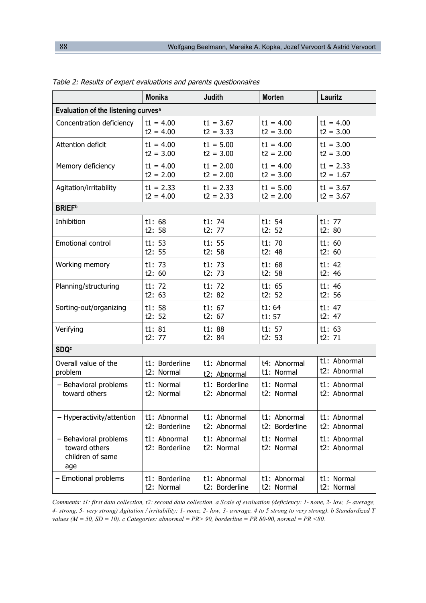|                                                                   | <b>Monika</b>                  | <b>Judith</b>              | <b>Morten</b>            | Lauritz                      |  |
|-------------------------------------------------------------------|--------------------------------|----------------------------|--------------------------|------------------------------|--|
| Evaluation of the listening curves <sup>a</sup>                   |                                |                            |                          |                              |  |
| Concentration deficiency                                          | $t1 = 4.00$                    | $t1 = 3.67$                | $t1 = 4.00$              | $t1 = 4.00$                  |  |
|                                                                   | $t2 = 4.00$                    | $t2 = 3.33$                | $t2 = 3.00$              | $t2 = 3.00$                  |  |
| Attention deficit                                                 | $t1 = 4.00$                    | $t1 = 5.00$                | $t1 = 4.00$              | $t1 = 3.00$                  |  |
|                                                                   | $t2 = 3.00$                    | $t2 = 3.00$                | $t2 = 2.00$              | $t2 = 3.00$                  |  |
| Memory deficiency                                                 | $t1 = 4.00$                    | $t1 = 2.00$                | $t1 = 4.00$              | $t1 = 2.33$                  |  |
|                                                                   | $t2 = 2.00$                    | $t2 = 2.00$                | $t2 = 3.00$              | $t2 = 1.67$                  |  |
| Agitation/irritability                                            | $t1 = 2.33$                    | $t1 = 2.33$                | $t1 = 5.00$              | $t1 = 3.67$                  |  |
|                                                                   | $t2 = 4.00$                    | $t2 = 2.33$                | $t2 = 2.00$              | $t2 = 3.67$                  |  |
| <b>BRIEF</b> <sup>b</sup>                                         |                                |                            |                          |                              |  |
| Inhibition                                                        | t1:68                          | t1:74                      | t1:54                    | t1: 77                       |  |
|                                                                   | t2:58                          | t2: 77                     | t2:52                    | t2: 80                       |  |
| Emotional control                                                 | t1:53                          | t1:55                      | t1:70                    | t1:60                        |  |
|                                                                   | t2:55                          | t2:58                      | t2:48                    | t2: 60                       |  |
| Working memory                                                    | t1:73                          | t1:73                      | t1:68                    | t1:42                        |  |
|                                                                   | t2:60                          | t2:73                      | t2:58                    | t2:46                        |  |
| Planning/structuring                                              | t1: 72                         | t1: 72                     | t1:65                    | t1:46                        |  |
|                                                                   | t2: 63                         | t2:82                      | t2:52                    | t2: 56                       |  |
| Sorting-out/organizing                                            | t1:58                          | t1:67                      | t1:64                    | t1: 47                       |  |
|                                                                   | t2:52                          | t2: 67                     | t1:57                    | t2: 47                       |  |
| Verifying                                                         | t1:81                          | t1:88                      | t1: 57                   | t1:63                        |  |
|                                                                   | t2: 77                         | t2: 84                     | t2:53                    | t2: 71                       |  |
| <b>SDQ<sup>c</sup></b>                                            |                                |                            |                          |                              |  |
| Overall value of the                                              | t1: Borderline                 | t1: Abnormal               | t4: Abnormal             | t1: Abnormal                 |  |
| problem                                                           | t2: Normal                     | t2: Abnormal               | t1: Normal               | t2: Abnormal                 |  |
| - Behavioral problems                                             | t1: Normal                     | t1: Borderline             | t1: Normal               | t1: Abnormal                 |  |
| toward others                                                     | t2: Normal                     | t2: Abnormal               | t2: Normal               | t2: Abnormal                 |  |
| - Hyperactivity/attention                                         | t1: Abnormal                   | t1: Abnormal               | t1: Abnormal             | t1: Abnormal                 |  |
|                                                                   | t2: Borderline                 | t2: Abnormal               | t2: Borderline           | t2: Abnormal                 |  |
| - Behavioral problems<br>toward others<br>children of same<br>age | t1: Abnormal<br>t2: Borderline | t1: Abnormal<br>t2: Normal | t1: Normal<br>t2: Normal | t1: Abnormal<br>t2: Abnormal |  |
| - Emotional problems                                              | t1: Borderline                 | t1: Abnormal               | t1: Abnormal             | t1: Normal                   |  |
|                                                                   | t2: Normal                     | t2: Borderline             | t2: Normal               | t2: Normal                   |  |

Table 2: Results of expert evaluations and parents questionnaires

*Comments: t1: first data collection, t2: second data collection. a Scale of evaluation (deficiency: 1- none, 2- low, 3- average, 4- strong, 5- very strong) Agitation / irritability: 1- none, 2- low, 3- average, 4 to 5 strong to very strong). b Standardized T values (M = 50, SD = 10). c Categories: abnormal = PR> 90, borderline = PR 80-90, normal = PR <80.*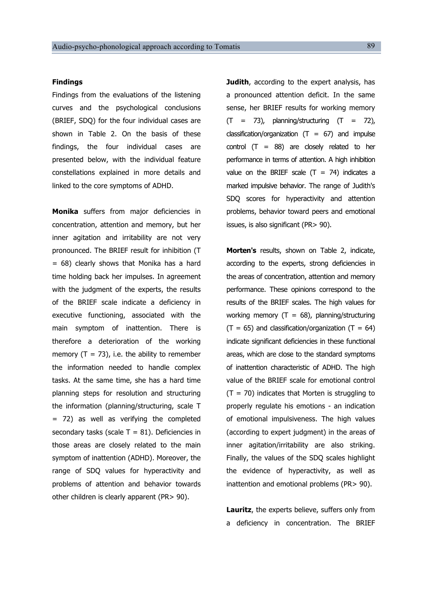#### **Findings**

Findings from the evaluations of the listening curves and the psychological conclusions (BRIEF, SDQ) for the four individual cases are shown in Table 2. On the basis of these findings, the four individual cases are presented below, with the individual feature constellations explained in more details and linked to the core symptoms of ADHD.

**Monika** suffers from major deficiencies in concentration, attention and memory, but her inner agitation and irritability are not very pronounced. The BRIEF result for inhibition (T  $= 68$ ) clearly shows that Monika has a hard time holding back her impulses. In agreement with the judgment of the experts, the results of the BRIEF scale indicate a deficiency in executive functioning, associated with the main symptom of inattention. There is therefore a deterioration of the working memory  $(T = 73)$ , i.e. the ability to remember the information needed to handle complex tasks. At the same time, she has a hard time planning steps for resolution and structuring the information (planning/structuring, scale T = 72) as well as verifying the completed secondary tasks (scale  $T = 81$ ). Deficiencies in those areas are closely related to the main symptom of inattention (ADHD). Moreover, the range of SDQ values for hyperactivity and problems of attention and behavior towards other children is clearly apparent (PR> 90).

**Judith**, according to the expert analysis, has a pronounced attention deficit. In the same sense, her BRIEF results for working memory  $(T = 73)$ , planning/structuring  $(T = 72)$ , classification/organization  $(T = 67)$  and impulse control  $(T = 88)$  are closely related to her performance in terms of attention. A high inhibition value on the BRIEF scale  $(T = 74)$  indicates a marked impulsive behavior. The range of Judith's SDQ scores for hyperactivity and attention problems, behavior toward peers and emotional issues, is also significant (PR> 90).

**Morten's** results, shown on Table 2, indicate, according to the experts, strong deficiencies in the areas of concentration, attention and memory performance. These opinions correspond to the results of the BRIEF scales. The high values for working memory  $(T = 68)$ , planning/structuring  $(T = 65)$  and classification/organization  $(T = 64)$ indicate significant deficiencies in these functional areas, which are close to the standard symptoms of inattention characteristic of ADHD. The high value of the BRIEF scale for emotional control  $(T = 70)$  indicates that Morten is struggling to properly regulate his emotions - an indication of emotional impulsiveness. The high values (according to expert judgment) in the areas of inner agitation/irritability are also striking. Finally, the values of the SDQ scales highlight the evidence of hyperactivity, as well as inattention and emotional problems (PR> 90).

**Lauritz**, the experts believe, suffers only from a deficiency in concentration. The BRIEF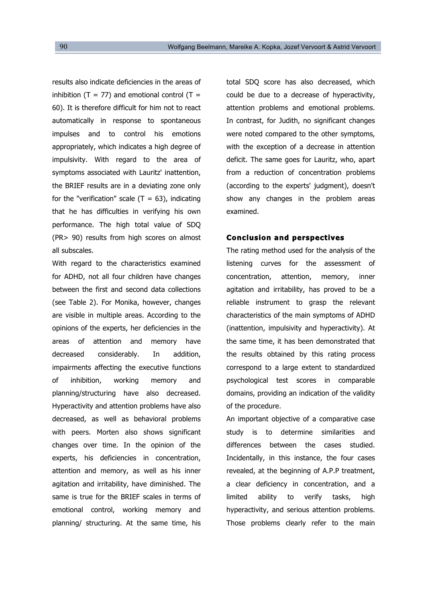results also indicate deficiencies in the areas of inhibition  $(T = 77)$  and emotional control  $(T =$ 60). It is therefore difficult for him not to react automatically in response to spontaneous impulses and to control his emotions appropriately, which indicates a high degree of impulsivity. With regard to the area of symptoms associated with Lauritz' inattention, the BRIEF results are in a deviating zone only for the "verification" scale  $(T = 63)$ , indicating that he has difficulties in verifying his own performance. The high total value of SDQ (PR> 90) results from high scores on almost all subscales.

With regard to the characteristics examined for ADHD, not all four children have changes between the first and second data collections (see Table 2). For Monika, however, changes are visible in multiple areas. According to the opinions of the experts, her deficiencies in the areas of attention and memory have decreased considerably. In addition, impairments affecting the executive functions of inhibition, working memory and planning/structuring have also decreased. Hyperactivity and attention problems have also decreased, as well as behavioral problems with peers. Morten also shows significant changes over time. In the opinion of the experts, his deficiencies in concentration, attention and memory, as well as his inner agitation and irritability, have diminished. The same is true for the BRIEF scales in terms of emotional control, working memory and planning/ structuring. At the same time, his

total SDQ score has also decreased, which could be due to a decrease of hyperactivity, attention problems and emotional problems. In contrast, for Judith, no significant changes were noted compared to the other symptoms, with the exception of a decrease in attention deficit. The same goes for Lauritz, who, apart from a reduction of concentration problems (according to the experts' judgment), doesn't show any changes in the problem areas examined.

# **Conclusion and perspectives**

The rating method used for the analysis of the listening curves for the assessment of concentration, attention, memory, inner agitation and irritability, has proved to be a reliable instrument to grasp the relevant characteristics of the main symptoms of ADHD (inattention, impulsivity and hyperactivity). At the same time, it has been demonstrated that the results obtained by this rating process correspond to a large extent to standardized psychological test scores in comparable domains, providing an indication of the validity of the procedure.

An important objective of a comparative case study is to determine similarities and differences between the cases studied. Incidentally, in this instance, the four cases revealed, at the beginning of A.P.P treatment, a clear deficiency in concentration, and a limited ability to verify tasks, high hyperactivity, and serious attention problems. Those problems clearly refer to the main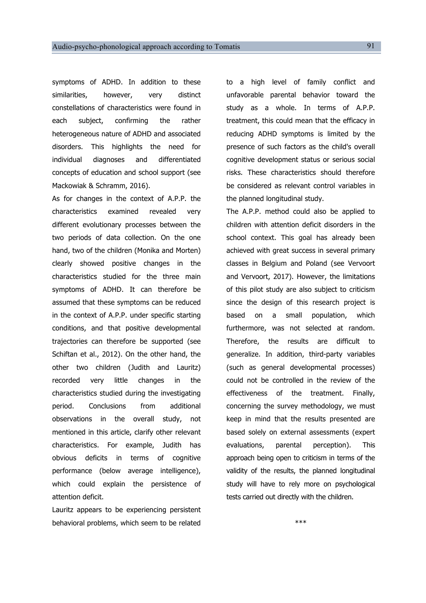symptoms of ADHD. In addition to these similarities, however, very distinct constellations of characteristics were found in each subject, confirming the rather heterogeneous nature of ADHD and associated disorders. This highlights the need for individual diagnoses and differentiated concepts of education and school support (see Mackowiak & Schramm, 2016).

As for changes in the context of A.P.P. the characteristics examined revealed very different evolutionary processes between the two periods of data collection. On the one hand, two of the children (Monika and Morten) clearly showed positive changes in the characteristics studied for the three main symptoms of ADHD. It can therefore be assumed that these symptoms can be reduced in the context of A.P.P. under specific starting conditions, and that positive developmental trajectories can therefore be supported (see Schiftan et al., 2012). On the other hand, the other two children (Judith and Lauritz) recorded very little changes in the characteristics studied during the investigating period. Conclusions from additional observations in the overall study, not mentioned in this article, clarify other relevant characteristics. For example, Judith has obvious deficits in terms of cognitive performance (below average intelligence), which could explain the persistence of attention deficit.

Lauritz appears to be experiencing persistent behavioral problems, which seem to be related to a high level of family conflict and unfavorable parental behavior toward the study as a whole. In terms of A.P.P. treatment, this could mean that the efficacy in reducing ADHD symptoms is limited by the presence of such factors as the child's overall cognitive development status or serious social risks. These characteristics should therefore be considered as relevant control variables in the planned longitudinal study.

The A.P.P. method could also be applied to children with attention deficit disorders in the school context. This goal has already been achieved with great success in several primary classes in Belgium and Poland (see Vervoort and Vervoort, 2017). However, the limitations of this pilot study are also subject to criticism since the design of this research project is based on a small population, which furthermore, was not selected at random. Therefore, the results are difficult to generalize. In addition, third-party variables (such as general developmental processes) could not be controlled in the review of the effectiveness of the treatment. Finally, concerning the survey methodology, we must keep in mind that the results presented are based solely on external assessments (expert evaluations, parental perception). This approach being open to criticism in terms of the validity of the results, the planned longitudinal study will have to rely more on psychological tests carried out directly with the children.

\*\*\*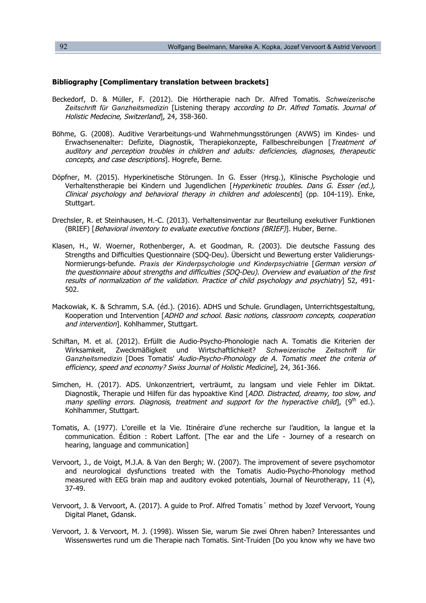### **Bibliography [Complimentary translation between brackets]**

- Beckedorf, D. & Müller, F. (2012). Die Hörtherapie nach Dr. Alfred Tomatis. *Schweizerische Zeitschrift für Ganzheitsmedizin* [Listening therapy according to Dr. Alfred Tomatis. Journal of Holistic Medecine, Switzerland], 24, 358-360.
- Böhme, G. (2008). Auditive Verarbeitungs-und Wahrnehmungsstörungen (AVWS) im Kindes- und Erwachsenenalter: Defizite, Diagnostik, Therapiekonzepte, Fallbeschreibungen [Treatment of auditory and perception troubles in children and adults: deficiencies, diagnoses, therapeutic concepts, and case descriptions]. Hogrefe, Berne.
- Döpfner, M. (2015). Hyperkinetische Störungen. In G. Esser (Hrsg.), Klinische Psychologie und Verhaltenstherapie bei Kindern und Jugendlichen [Hyperkinetic troubles. Dans G. Esser (ed.), Clinical psychology and behavioral therapy in children and adolescents] (pp. 104-119). Enke, Stuttgart.
- Drechsler, R. et Steinhausen, H.-C. (2013). Verhaltensinventar zur Beurteilung exekutiver Funktionen (BRIEF) [Behavioral inventory to evaluate executive fonctions (BRIEF)]. Huber, Berne.
- Klasen, H., W. Woerner, Rothenberger, A. et Goodman, R. (2003). Die deutsche Fassung des Strengths and Difficulties Questionnaire (SDQ-Deu). Übersicht und Bewertung erster Validierungs-Normierungs-befunde. *Praxis der Kinderpsychologie und Kinderpsychiatrie* [German version of the questionnaire about strengths and difficulties (SDQ-Deu). Overview and evaluation of the first results of normalization of the validation. Practice of child psychology and psychiatry] 52, 491- 502.
- Mackowiak, K. & Schramm, S.A. (éd.). (2016). ADHS und Schule. Grundlagen, Unterrichtsgestaltung, Kooperation und Intervention [ADHD and school. Basic notions, classroom concepts, cooperation and intervention]. Kohlhammer, Stuttgart.
- Schiftan, M. et al. (2012). Erfüllt die Audio-Psycho-Phonologie nach A. Tomatis die Kriterien der Wirksamkeit, Zweckmäßigkeit und Wirtschaftlichkeit? *Schweizerische Zeitschrift für Ganzheitsmedizin* [Does Tomatis' Audio-Psycho-Phonology de A. Tomatis meet the criteria of efficiency, speed and economy? Swiss Journal of Holistic Medicine], 24, 361-366.
- Simchen, H. (2017). ADS. Unkonzentriert, verträumt, zu langsam und viele Fehler im Diktat. Diagnostik, Therapie und Hilfen für das hypoaktive Kind [ADD. Distracted, dreamy, too slow, and many spelling errors. Diagnosis, treatment and support for the hyperactive child,  $(9<sup>th</sup>$  ed.). Kohlhammer, Stuttgart.
- Tomatis, A. (1977). L'oreille et la Vie. Itinéraire d'une recherche sur l'audition, la langue et la communication. Édition : Robert Laffont. [The ear and the Life - Journey of a research on hearing, language and communication]
- Vervoort, J., de Voigt, M.J.A. & Van den Bergh; W. (2007). The improvement of severe psychomotor and neurological dysfunctions treated with the Tomatis Audio-Psycho-Phonology method measured with EEG brain map and auditory evoked potentials, Journal of Neurotherapy, 11 (4), 37-49.
- Vervoort, J. & Vervoort, A. (2017). A guide to Prof. Alfred Tomatis´ method by Jozef Vervoort, Young Digital Planet, Gdansk.
- Vervoort, J. & Vervoort, M. J. (1998). Wissen Sie, warum Sie zwei Ohren haben? Interessantes und Wissenswertes rund um die Therapie nach Tomatis. Sint-Truiden [Do you know why we have two